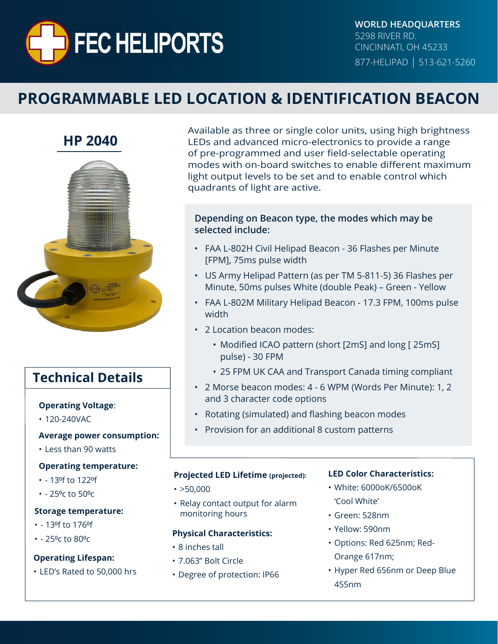

**WORLD HEADQUARTERS** 5298 RIVER RD. CINCINNATI, OH 45233 877-HELIPAD | 513-621-5260

# **PROGRAMMABLE LED LOCATION & IDENTIFICATION BEACON**



### **Technical Details**

#### **Operating Voltage**:

• 120-240VAC

#### **Average power consumption:**

• Less than 90 watts

#### **Operating temperature:**

- - 13⁰f to 122⁰f
- $- 25$ <sup>o</sup>c to  $50$ <sup>o</sup>c

#### **Storage temperature:**

- - 13⁰f to 176⁰f
- $- 25$ <sup>o</sup>c to 80 $°C$

#### **Operating Lifespan:**

• LED's Rated to 50,000 hrs

Available as three or single color units, using high brightness LEDs and advanced micro-electronics to provide a range of pre-programmed and user field-selectable operating modes with on-board switches to enable different maximum light output levels to be set and to enable control which quadrants of light are active.

#### **Depending on Beacon type, the modes which may be selected include:**

- FAA L-802H Civil Helipad Beacon 36 Flashes per Minute [FPM], 75ms pulse width
- US Army Helipad Pattern (as per TM 5-811-5) 36 Flashes per Minute, 50ms pulses White (double Peak) – Green - Yellow
- FAA L-802M Military Helipad Beacon 17.3 FPM, 100ms pulse width
- 2 Location beacon modes:
	- Modified ICAO pattern (short [2mS] and long [25mS] pulse) - 30 FPM
	- 25 FPM UK CAA and Transport Canada timing compliant
- 2 Morse beacon modes: 4 6 WPM (Words Per Minute): 1, 2 and 3 character code options
- Rotating (simulated) and flashing beacon modes
- Provision for an additional 8 custom patterns

#### **Projected LED Lifetime (projected):**

- $\cdot$  >50,000
- Relay contact output for alarm monitoring hours

#### **Physical Characteristics:**

- 8 inches tall
- 7.063" Bolt Circle
- Degree of protection: IP66

#### **LED Color Characteristics:**

- White: 6000oK/6500oK 'Cool White'
- Green: 528nm
- Yellow: 590nm
- Options: Red 625nm; Red-Orange 617nm;
- Hyper Red 656nm or Deep Blue 455nm